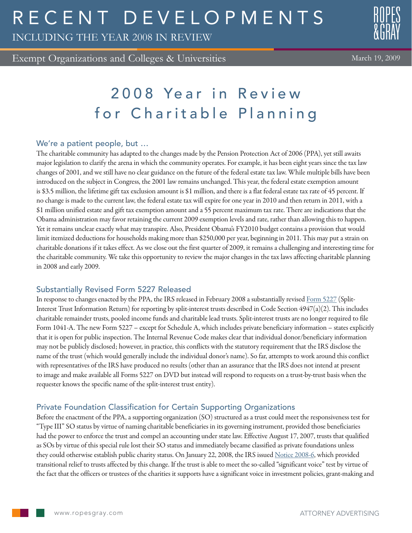# R E C E N T D E V E L O P M E N T S

INCLUDING THE YEAR 2008 IN REVIEW

Exempt Organizations and Colleges & Universities

# 2008 Year in Review for Charitable Planning

#### We're a patient people, but …

The charitable community has adapted to the changes made by the Pension Protection Act of 2006 (PPA), yet still awaits major legislation to clarify the arena in which the community operates. For example, it has been eight years since the tax law changes of 2001, and we still have no clear guidance on the future of the federal estate tax law. While multiple bills have been introduced on the subject in Congress, the 2001 law remains unchanged. This year, the federal estate exemption amount is \$3.5 million, the lifetime gift tax exclusion amount is \$1 million, and there is a flat federal estate tax rate of 45 percent. If no change is made to the current law, the federal estate tax will expire for one year in 2010 and then return in 2011, with a \$1 million unified estate and gift tax exemption amount and a 55 percent maximum tax rate. There are indications that the Obama administration may favor retaining the current 2009 exemption levels and rate, rather than allowing this to happen. Yet it remains unclear exactly what may transpire. Also, President Obama's FY2010 budget contains a provision that would limit itemized deductions for households making more than \$250,000 per year, beginning in 2011. This may put a strain on charitable donations if it takes effect. As we close out the first quarter of 2009, it remains a challenging and interesting time for the charitable community. We take this opportunity to review the major changes in the tax laws affecting charitable planning in 2008 and early 2009.

#### Substantially Revised Form 5227 Released

In response to changes enacted by the PPA, the IRS released in February 2008 a substantially revised [Form 5227](http://www.irs.gov/pub/irs-pdf/f5227.pdf) (Split-Interest Trust Information Return) for reporting by split-interest trusts described in Code Section  $4947(a)(2)$ . This includes charitable remainder trusts, pooled income funds and charitable lead trusts. Split-interest trusts are no longer required to file Form 1041-A. The new Form 5227 – except for Schedule A, which includes private beneficiary information – states explicitly that it is open for public inspection. The Internal Revenue Code makes clear that individual donor/beneficiary information may not be publicly disclosed; however, in practice, this conflicts with the statutory requirement that the IRS disclose the name of the trust (which would generally include the individual donor's name). So far, attempts to work around this conflict with representatives of the IRS have produced no results (other than an assurance that the IRS does not intend at present to image and make available all Forms 5227 on DVD but instead will respond to requests on a trust-by-trust basis when the requester knows the specific name of the split-interest trust entity).

## Private Foundation Classification for Certain Supporting Organizations

Before the enactment of the PPA, a supporting organization (SO) structured as a trust could meet the responsiveness test for "Type III" SO status by virtue of naming charitable beneficiaries in its governing instrument, provided those beneficiaries had the power to enforce the trust and compel an accounting under state law. Effective August 17, 2007, trusts that qualified as SOs by virtue of this special rule lost their SO status and immediately became classified as private foundations unless they could otherwise establish public charity status. On January 22, 2008, the IRS issued [Notice 2008-6,](http://www.irs.gov/charities/article/0,,id=177050,00.html) which provided transitional relief to trusts affected by this change. If the trust is able to meet the so-called "significant voice" test by virtue of the fact that the officers or trustees of the charities it supports have a significant voice in investment policies, grant-making and

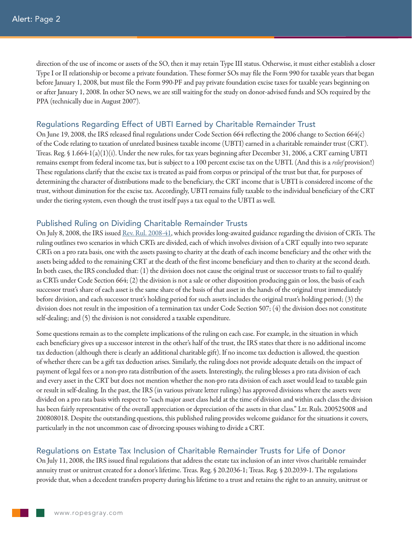direction of the use of income or assets of the SO, then it may retain Type III status. Otherwise, it must either establish a closer Type I or II relationship or become a private foundation. These former SOs may file the Form 990 for taxable years that began before January 1, 2008, but must file the Form 990-PF and pay private foundation excise taxes for taxable years beginning on or after January 1, 2008. In other SO news, we are still waiting for the study on donor-advised funds and SOs required by the PPA (technically due in August 2007).

#### Regulations Regarding Effect of UBTI Earned by Charitable Remainder Trust

On June 19, 2008, the IRS released final regulations under Code Section 664 reflecting the 2006 change to Section 664(c) of the Code relating to taxation of unrelated business taxable income (UBTI) earned in a charitable remainder trust (CRT). Treas. Reg. § 1.664-1(a)(1)(i). Under the new rules, for tax years beginning after December 31, 2006, a CRT earning UBTI remains exempt from federal income tax, but is subject to a 100 percent excise tax on the UBTI. (And this is a *relief* provision!) These regulations clarify that the excise tax is treated as paid from corpus or principal of the trust but that, for purposes of determining the character of distributions made to the beneficiary, the CRT income that is UBTI is considered income of the trust, without diminution for the excise tax. Accordingly, UBTI remains fully taxable to the individual beneficiary of the CRT under the tiering system, even though the trust itself pays a tax equal to the UBTI as well.

#### Published Ruling on Dividing Charitable Remainder Trusts

On July 8, 2008, the IRS issued [Rev. Rul. 2008-41](http://www.irs.gov/irb/2008-30_IRB/ar12.html), which provides long-awaited guidance regarding the division of CRTs. The ruling outlines two scenarios in which CRTs are divided, each of which involves division of a CRT equally into two separate CRTs on a pro rata basis, one with the assets passing to charity at the death of each income beneficiary and the other with the assets being added to the remaining CRT at the death of the first income beneficiary and then to charity at the second death. In both cases, the IRS concluded that: (1) the division does not cause the original trust or successor trusts to fail to qualify as CRTs under Code Section 664; (2) the division is not a sale or other disposition producing gain or loss, the basis of each successor trust's share of each asset is the same share of the basis of that asset in the hands of the original trust immediately before division, and each successor trust's holding period for such assets includes the original trust's holding period; (3) the division does not result in the imposition of a termination tax under Code Section 507; (4) the division does not constitute self-dealing; and (5) the division is not considered a taxable expenditure.

Some questions remain as to the complete implications of the ruling on each case. For example, in the situation in which each beneficiary gives up a successor interest in the other's half of the trust, the IRS states that there is no additional income tax deduction (although there is clearly an additional charitable gift). If no income tax deduction is allowed, the question of whether there can be a gift tax deduction arises. Similarly, the ruling does not provide adequate details on the impact of payment of legal fees or a non-pro rata distribution of the assets. Interestingly, the ruling blesses a pro rata division of each and every asset in the CRT but does not mention whether the non-pro rata division of each asset would lead to taxable gain or result in self-dealing. In the past, the IRS (in various private letter rulings) has approved divisions where the assets were divided on a pro rata basis with respect to "each major asset class held at the time of division and within each class the division has been fairly representative of the overall appreciation or depreciation of the assets in that class." Ltr. Ruls. 200525008 and 200808018. Despite the outstanding questions, this published ruling provides welcome guidance for the situations it covers, particularly in the not uncommon case of divorcing spouses wishing to divide a CRT.

### Regulations on Estate Tax Inclusion of Charitable Remainder Trusts for Life of Donor

On July 11, 2008, the IRS issued final regulations that address the estate tax inclusion of an inter vivos charitable remainder annuity trust or unitrust created for a donor's lifetime. Treas. Reg. § 20.2036-1; Treas. Reg. § 20.2039-1. The regulations provide that, when a decedent transfers property during his lifetime to a trust and retains the right to an annuity, unitrust or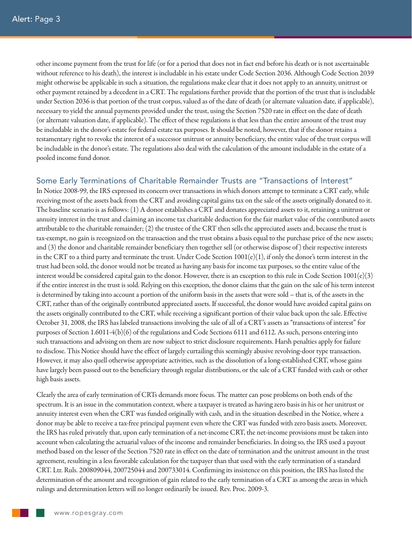other income payment from the trust for life (or for a period that does not in fact end before his death or is not ascertainable without reference to his death), the interest is includable in his estate under Code Section 2036. Although Code Section 2039 might otherwise be applicable in such a situation, the regulations make clear that it does not apply to an annuity, unitrust or other payment retained by a decedent in a CRT. The regulations further provide that the portion of the trust that is includable under Section 2036 is that portion of the trust corpus, valued as of the date of death (or alternate valuation date, if applicable), necessary to yield the annual payments provided under the trust, using the Section 7520 rate in effect on the date of death (or alternate valuation date, if applicable). The effect of these regulations is that less than the entire amount of the trust may be includable in the donor's estate for federal estate tax purposes. It should be noted, however, that if the donor retains a testamentary right to revoke the interest of a successor unitrust or annuity beneficiary, the entire value of the trust corpus will be includable in the donor's estate. The regulations also deal with the calculation of the amount includable in the estate of a pooled income fund donor.

#### Some Early Terminations of Charitable Remainder Trusts are "Transactions of Interest"

In Notice 2008-99, the IRS expressed its concern over transactions in which donors attempt to terminate a CRT early, while receiving most of the assets back from the CRT and avoiding capital gains tax on the sale of the assets originally donated to it. The baseline scenario is as follows: (1) A donor establishes a CRT and donates appreciated assets to it, retaining a unitrust or annuity interest in the trust and claiming an income tax charitable deduction for the fair market value of the contributed assets attributable to the charitable remainder; (2) the trustee of the CRT then sells the appreciated assets and, because the trust is tax-exempt, no gain is recognized on the transaction and the trust obtains a basis equal to the purchase price of the new assets; and (3) the donor and charitable remainder beneficiary then together sell (or otherwise dispose of ) their respective interests in the CRT to a third party and terminate the trust. Under Code Section  $1001(e)(1)$ , if only the donor's term interest in the trust had been sold, the donor would not be treated as having any basis for income tax purposes, so the entire value of the interest would be considered capital gain to the donor. However, there is an exception to this rule in Code Section  $1001(e)(3)$ if the entire interest in the trust is sold. Relying on this exception, the donor claims that the gain on the sale of his term interest is determined by taking into account a portion of the uniform basis in the assets that were sold – that is, of the assets in the CRT, rather than of the originally contributed appreciated assets. If successful, the donor would have avoided capital gains on the assets originally contributed to the CRT, while receiving a significant portion of their value back upon the sale. Effective October 31, 2008, the IRS has labeled transactions involving the sale of all of a CRT's assets as "transactions of interest" for purposes of Section 1.6011-4(b)(6) of the regulations and Code Sections 6111 and 6112. As such, persons entering into such transactions and advising on them are now subject to strict disclosure requirements. Harsh penalties apply for failure to disclose. This Notice should have the effect of largely curtailing this seemingly abusive revolving-door type transaction. However, it may also quell otherwise appropriate activities, such as the dissolution of a long-established CRT, whose gains have largely been passed out to the beneficiary through regular distributions, or the sale of a CRT funded with cash or other high basis assets.

Clearly the area of early termination of CRTs demands more focus. The matter can pose problems on both ends of the spectrum. It is an issue in the commutation context, where a taxpayer is treated as having zero basis in his or her unitrust or annuity interest even when the CRT was funded originally with cash, and in the situation described in the Notice, where a donor may be able to receive a tax-free principal payment even where the CRT was funded with zero basis assets. Moreover, the IRS has ruled privately that, upon early termination of a net-income CRT, the net-income provisions must be taken into account when calculating the actuarial values of the income and remainder beneficiaries. In doing so, the IRS used a payout method based on the lesser of the Section 7520 rate in effect on the date of termination and the unitrust amount in the trust agreement, resulting in a less favorable calculation for the taxpayer than that used with the early termination of a standard CRT. Ltr. Ruls. 200809044, 200725044 and 200733014. Confirming its insistence on this position, the IRS has listed the determination of the amount and recognition of gain related to the early termination of a CRT as among the areas in which rulings and determination letters will no longer ordinarily be issued. Rev. Proc. 2009-3.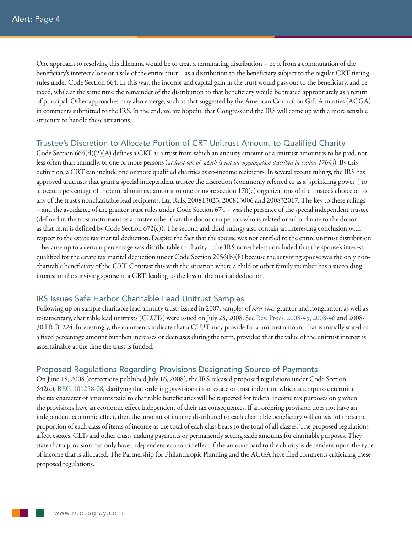One approach to resolving this dilemma would be to treat a terminating distribution – be it from a commutation of the beneficiary's interest alone or a sale of the entire trust – as a distribution to the beneficiary subject to the regular CRT tiering rules under Code Section 664. In this way, the income and capital gain in the trust would pass out to the beneficiary, and be taxed, while at the same time the remainder of the distribution to that beneficiary would be treated appropriately as a return of principal. Other approaches may also emerge, such as that suggested by the American Council on Gift Annuities (ACGA) in comments submitted to the IRS. In the end, we are hopeful that Congress and the IRS will come up with a more sensible structure to handle these situations.

#### Trustee's Discretion to Allocate Portion of CRT Unitrust Amount to Qualified Charity

Code Section  $664(d)(2)(A)$  defines a CRT as a trust from which an annuity amount or a unitrust amount is to be paid, not less often than annually, to one or more persons (*at least one of which is not an organization described in section 170(c)*). By this definition, a CRT can include one or more qualified charities as co-income recipients. In several recent rulings, the IRS has approved unitrusts that grant a special independent trustee the discretion (commonly referred to as a "sprinkling power") to allocate a percentage of the annual unitrust amount to one or more section  $170(c)$  organizations of the trustee's choice or to any of the trust's noncharitable lead recipients. Ltr. Ruls. 200813023, 200813006 and 200832017. The key to these rulings – and the avoidance of the grantor trust rules under Code Section 674 – was the presence of the special independent trustee (defined in the trust instrument as a trustee other than the donor or a person who is related or subordinate to the donor as that term is defined by Code Section  $672(c)$ ). The second and third rulings also contain an interesting conclusion with respect to the estate tax marital deduction. Despite the fact that the spouse was not entitled to the entire unitrust distribution – because up to a certain percentage was distributable to charity – the IRS nonetheless concluded that the spouse's interest qualified for the estate tax marital deduction under Code Section  $2056(b)(8)$  because the surviving spouse was the only noncharitable beneficiary of the CRT. Contrast this with the situation where a child or other family member has a succeeding interest to the surviving spouse in a CRT, leading to the loss of the marital deduction.

#### IRS Issues Safe Harbor Charitable Lead Unitrust Samples

Following up on sample charitable lead annuity trusts issued in 2007, samples of *inter vivos* grantor and nongrantor, as well as testamentary, charitable lead unitrusts (CLUTs) were issued on July 28, 2008. See [Rev. Procs. 2008-45](http://www.irs.gov/irb/2008-30_IRB/ar19.html), [2008-46](http://www.irs.gov/irb/2008-30_IRB/ar20.html) and 2008- 30 I.R.B. 224. Interestingly, the comments indicate that a CLUT may provide for a unitrust amount that is initially stated as a fixed percentage amount but then increases or decreases during the term, provided that the value of the unitrust interest is ascertainable at the time the trust is funded.

#### Proposed Regulations Regarding Provisions Designating Source of Payments

On June 18, 2008 (corrections published July 16, 2008), the IRS released proposed regulations under Code Section 642(c), [REG-101258-08](http://www.irs.gov/irb/2008-28_IRB/ar13.html), clarifying that ordering provisions in an estate or trust indenture which attempt to determine the tax character of amounts paid to charitable beneficiaries will be respected for federal income tax purposes only when the provisions have an economic effect independent of their tax consequences. If an ordering provision does not have an independent economic effect, then the amount of income distributed to each charitable beneficiary will consist of the same proportion of each class of items of income as the total of each class bears to the total of all classes. The proposed regulations affect estates, CLTs and other trusts making payments or permanently setting aside amounts for charitable purposes. They state that a provision can only have independent economic effect if the amount paid to the charity is dependent upon the type of income that is allocated. The Partnership for Philanthropic Planning and the ACGA have filed comments criticizing these proposed regulations.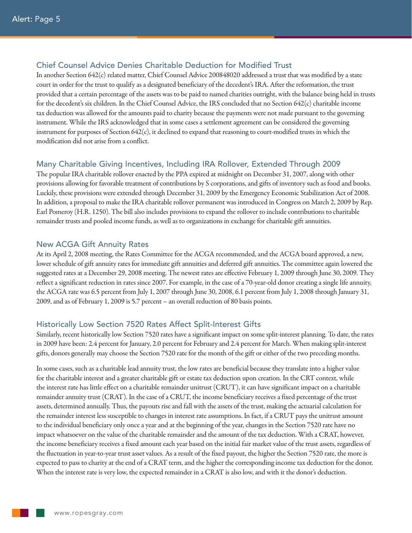#### Chief Counsel Advice Denies Charitable Deduction for Modified Trust

In another Section 642(c) related matter, Chief Counsel Advice 200848020 addressed a trust that was modified by a state court in order for the trust to qualify as a designated beneficiary of the decedent's IRA. After the reformation, the trust provided that a certain percentage of the assets was to be paid to named charities outright, with the balance being held in trusts for the decedent's six children. In the Chief Counsel Advice, the IRS concluded that no Section 642(c) charitable income tax deduction was allowed for the amounts paid to charity because the payments were not made pursuant to the governing instrument. While the IRS acknowledged that in some cases a settlement agreement can be considered the governing instrument for purposes of Section 642(c), it declined to expand that reasoning to court-modified trusts in which the modification did not arise from a conflict.

#### Many Charitable Giving Incentives, Including IRA Rollover, Extended Through 2009

The popular IRA charitable rollover enacted by the PPA expired at midnight on December 31, 2007, along with other provisions allowing for favorable treatment of contributions by S corporations, and gifts of inventory such as food and books. Luckily, these provisions were extended through December 31, 2009 by the Emergency Economic Stabilization Act of 2008. In addition, a proposal to make the IRA charitable rollover permanent was introduced in Congress on March 2, 2009 by Rep. Earl Pomeroy (H.R. 1250). The bill also includes provisions to expand the rollover to include contributions to charitable remainder trusts and pooled income funds, as well as to organizations in exchange for charitable gift annuities.

#### New ACGA Gift Annuity Rates

At its April 2, 2008 meeting, the Rates Committee for the ACGA recommended, and the ACGA board approved, a new, lower schedule of gift annuity rates for immediate gift annuities and deferred gift annuities. The committee again lowered the suggested rates at a December 29, 2008 meeting. The newest rates are effective February 1, 2009 through June 30, 2009. They reflect a significant reduction in rates since 2007. For example, in the case of a 70-year-old donor creating a single life annuity, the ACGA rate was 6.5 percent from July 1, 2007 through June 30, 2008, 6.1 percent from July 1, 2008 through January 31, 2009, and as of February 1, 2009 is 5.7 percent – an overall reduction of 80 basis points.

#### Historically Low Section 7520 Rates Affect Split-Interest Gifts

Similarly, recent historically low Section 7520 rates have a significant impact on some split-interest planning. To date, the rates in 2009 have been: 2.4 percent for January, 2.0 percent for February and 2.4 percent for March. When making split-interest gifts, donors generally may choose the Section 7520 rate for the month of the gift or either of the two preceding months.

In some cases, such as a charitable lead annuity trust, the low rates are beneficial because they translate into a higher value for the charitable interest and a greater charitable gift or estate tax deduction upon creation. In the CRT context, while the interest rate has little effect on a charitable remainder unitrust (CRUT), it can have significant impact on a charitable remainder annuity trust (CRAT). In the case of a CRUT, the income beneficiary receives a fixed percentage of the trust assets, determined annually. Thus, the payouts rise and fall with the assets of the trust, making the actuarial calculation for the remainder interest less susceptible to changes in interest rate assumptions. In fact, if a CRUT pays the unitrust amount to the individual beneficiary only once a year and at the beginning of the year, changes in the Section 7520 rate have no impact whatsoever on the value of the charitable remainder and the amount of the tax deduction. With a CRAT, however, the income beneficiary receives a fixed amount each year based on the initial fair market value of the trust assets, regardless of the fluctuation in year-to-year trust asset values. As a result of the fixed payout, the higher the Section 7520 rate, the more is expected to pass to charity at the end of a CRAT term, and the higher the corresponding income tax deduction for the donor. When the interest rate is very low, the expected remainder in a CRAT is also low, and with it the donor's deduction.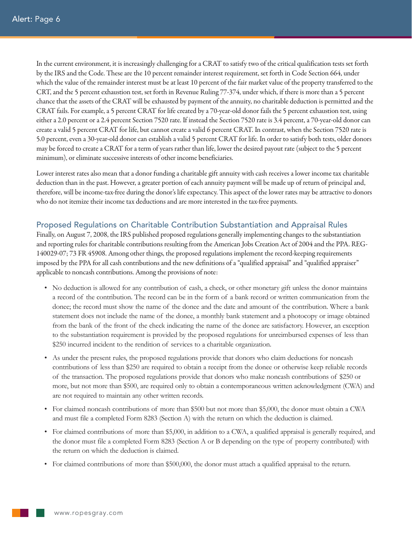In the current environment, it is increasingly challenging for a CRAT to satisfy two of the critical qualification tests set forth by the IRS and the Code. These are the 10 percent remainder interest requirement, set forth in Code Section 664, under which the value of the remainder interest must be at least 10 percent of the fair market value of the property transferred to the CRT, and the 5 percent exhaustion test, set forth in Revenue Ruling 77-374, under which, if there is more than a 5 percent chance that the assets of the CRAT will be exhausted by payment of the annuity, no charitable deduction is permitted and the CRAT fails. For example, a 5 percent CRAT for life created by a 70-year-old donor fails the 5 percent exhaustion test, using either a 2.0 percent or a 2.4 percent Section 7520 rate. If instead the Section 7520 rate is 3.4 percent, a 70-year-old donor can create a valid 5 percent CRAT for life, but cannot create a valid 6 percent CRAT. In contrast, when the Section 7520 rate is 5.0 percent, even a 30-year-old donor can establish a valid 5 percent CRAT for life. In order to satisfy both tests, older donors may be forced to create a CRAT for a term of years rather than life, lower the desired payout rate (subject to the 5 percent minimum), or eliminate successive interests of other income beneficiaries.

Lower interest rates also mean that a donor funding a charitable gift annuity with cash receives a lower income tax charitable deduction than in the past. However, a greater portion of each annuity payment will be made up of return of principal and, therefore, will be income-tax-free during the donor's life expectancy. This aspect of the lower rates may be attractive to donors who do not itemize their income tax deductions and are more interested in the tax-free payments.

#### Proposed Regulations on Charitable Contribution Substantiation and Appraisal Rules

Finally, on August 7, 2008, the IRS published proposed regulations generally implementing changes to the substantiation and reporting rules for charitable contributions resulting from the American Jobs Creation Act of 2004 and the PPA. REG-140029-07; 73 FR 45908. Among other things, the proposed regulations implement the record-keeping requirements imposed by the PPA for all cash contributions and the new definitions of a "qualified appraisal" and "qualified appraiser" applicable to noncash contributions. Among the provisions of note:

- • No deduction is allowed for any contribution of cash, a check, or other monetary gift unless the donor maintains a record of the contribution. The record can be in the form of a bank record or written communication from the donee; the record must show the name of the donee and the date and amount of the contribution. Where a bank statement does not include the name of the donee, a monthly bank statement and a photocopy or image obtained from the bank of the front of the check indicating the name of the donee are satisfactory. However, an exception to the substantiation requirement is provided by the proposed regulations for unreimbursed expenses of less than \$250 incurred incident to the rendition of services to a charitable organization.
- • As under the present rules, the proposed regulations provide that donors who claim deductions for noncash contributions of less than \$250 are required to obtain a receipt from the donee or otherwise keep reliable records of the transaction. The proposed regulations provide that donors who make noncash contributions of \$250 or more, but not more than \$500, are required only to obtain a contemporaneous written acknowledgment (CWA) and are not required to maintain any other written records.
- • For claimed noncash contributions of more than \$500 but not more than \$5,000, the donor must obtain a CWA and must file a completed Form 8283 (Section A) with the return on which the deduction is claimed.
- • For claimed contributions of more than \$5,000, in addition to a CWA, a qualified appraisal is generally required, and the donor must file a completed Form 8283 (Section A or B depending on the type of property contributed) with the return on which the deduction is claimed.
- • For claimed contributions of more than \$500,000, the donor must attach a qualified appraisal to the return.